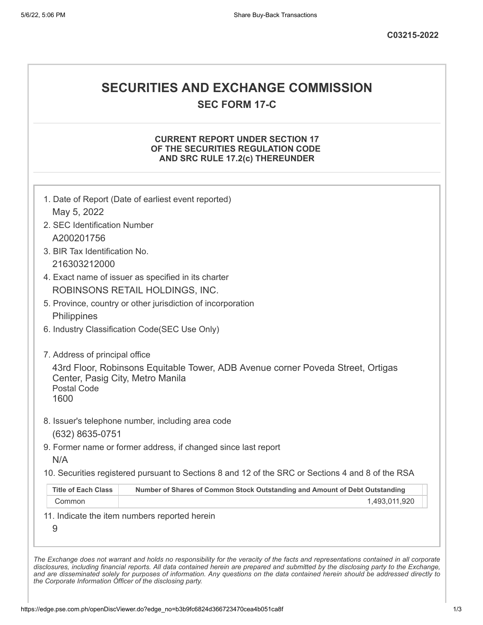# **SECURITIES AND EXCHANGE COMMISSION**

**SEC FORM 17-C**

# **CURRENT REPORT UNDER SECTION 17 OF THE SECURITIES REGULATION CODE AND SRC RULE 17.2(c) THEREUNDER**

| 2. SEC Identification Number                                                           |                                                                                                   |  |
|----------------------------------------------------------------------------------------|---------------------------------------------------------------------------------------------------|--|
| A200201756                                                                             |                                                                                                   |  |
| 3. BIR Tax Identification No.                                                          |                                                                                                   |  |
| 216303212000                                                                           |                                                                                                   |  |
|                                                                                        |                                                                                                   |  |
| 4. Exact name of issuer as specified in its charter<br>ROBINSONS RETAIL HOLDINGS, INC. |                                                                                                   |  |
|                                                                                        |                                                                                                   |  |
|                                                                                        | 5. Province, country or other jurisdiction of incorporation                                       |  |
| Philippines                                                                            |                                                                                                   |  |
|                                                                                        | 6. Industry Classification Code(SEC Use Only)                                                     |  |
| 7. Address of principal office                                                         |                                                                                                   |  |
| Center, Pasig City, Metro Manila<br><b>Postal Code</b><br>1600                         |                                                                                                   |  |
|                                                                                        |                                                                                                   |  |
|                                                                                        | 8. Issuer's telephone number, including area code                                                 |  |
| (632) 8635-0751                                                                        |                                                                                                   |  |
|                                                                                        | 9. Former name or former address, if changed since last report                                    |  |
| N/A                                                                                    | 10. Securities registered pursuant to Sections 8 and 12 of the SRC or Sections 4 and 8 of the RSA |  |
| <b>Title of Each Class</b>                                                             | Number of Shares of Common Stock Outstanding and Amount of Debt Outstanding                       |  |
| Common                                                                                 | 1,493,011,920                                                                                     |  |

*the Corporate Information Officer of the disclosing party.*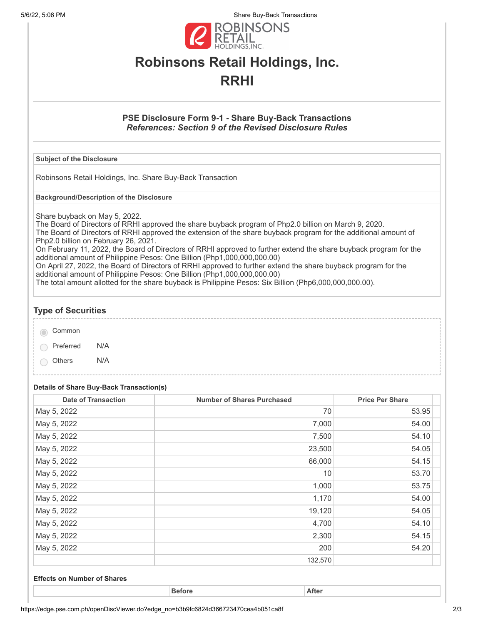5/6/22, 5:06 PM Share Buy-Back Transactions



# **Robinsons Retail Holdings, Inc. RRHI**

# **PSE Disclosure Form 9-1 - Share Buy-Back Transactions** *References: Section 9 of the Revised Disclosure Rules*

### **Subject of the Disclosure**

Robinsons Retail Holdings, Inc. Share Buy-Back Transaction

**Background/Description of the Disclosure**

Share buyback on May 5, 2022.

The Board of Directors of RRHI approved the share buyback program of Php2.0 billion on March 9, 2020. The Board of Directors of RRHI approved the extension of the share buyback program for the additional amount of Php2.0 billion on February 26, 2021.

On February 11, 2022, the Board of Directors of RRHI approved to further extend the share buyback program for the additional amount of Philippine Pesos: One Billion (Php1,000,000,000.00)

On April 27, 2022, the Board of Directors of RRHI approved to further extend the share buyback program for the additional amount of Philippine Pesos: One Billion (Php1,000,000,000.00)

The total amount allotted for the share buyback is Philippine Pesos: Six Billion (Php6,000,000,000.00).

# **Type of Securities** Common Preferred N/A Others N/A

### **Details of Share Buy-Back Transaction(s)**

| <b>Date of Transaction</b> | <b>Number of Shares Purchased</b> | <b>Price Per Share</b> |
|----------------------------|-----------------------------------|------------------------|
| May 5, 2022                | 70                                | 53.95                  |
| May 5, 2022                | 7,000                             | 54.00                  |
| May 5, 2022                | 7,500                             | 54.10                  |
| May 5, 2022                | 23,500                            | 54.05                  |
| May 5, 2022                | 66,000                            | 54.15                  |
| May 5, 2022                | 10                                | 53.70                  |
| May 5, 2022                | 1,000                             | 53.75                  |
| May 5, 2022                | 1,170                             | 54.00                  |
| May 5, 2022                | 19,120                            | 54.05                  |
| May 5, 2022                | 4,700                             | 54.10                  |
| May 5, 2022                | 2,300                             | 54.15                  |
| May 5, 2022                | 200                               | 54.20                  |
|                            | 132,570                           |                        |

### **Effects on Number of Shares**

**Before After**